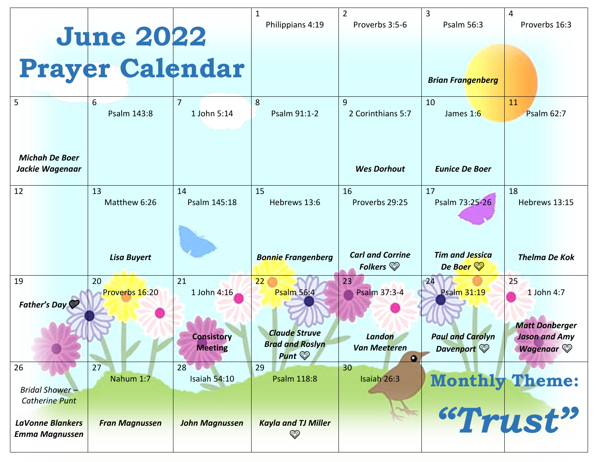|                                                      | <b>June 2022</b><br>Prayer Calendar |                                     | 1<br>Philippians 4:19                                                | $\overline{2}$<br>Proverbs 3:5-6               | 3<br>Psalm 56:3                                 | 4<br>Proverbs 16:3                                               |
|------------------------------------------------------|-------------------------------------|-------------------------------------|----------------------------------------------------------------------|------------------------------------------------|-------------------------------------------------|------------------------------------------------------------------|
| 5                                                    | $6 \overline{6}$<br>Psalm 143:8     | $\overline{7}$<br>1 John 5:14       | 8<br>Psalm 91:1-2                                                    | 9<br>2 Corinthians 5:7                         | <b>Brian Frangenberg</b><br>10<br>James 1:6     | 11<br><b>Psalm 62:7</b>                                          |
| <b>Michah De Boer</b><br>Jackie Wagenaar             |                                     |                                     |                                                                      | <b>Wes Dorhout</b>                             | <b>Eunice De Boer</b>                           |                                                                  |
| 12                                                   | 13<br>Matthew 6:26                  | 14<br>Psalm 145:18                  | 15<br>Hebrews 13:6                                                   | 16<br>Proverbs 29:25                           | 17<br>Psalm 73:25-26                            | 18<br>Hebrews 13:15                                              |
|                                                      | <b>Lisa Buyert</b>                  |                                     | <b>Bonnie Frangenberg</b>                                            | <b>Carl and Corrine</b><br>Folkers $\circledS$ | <b>Tim and Jessica</b><br>De Boer $\mathcal{D}$ | <b>Thelma De Kok</b>                                             |
| 19<br>Father's Day                                   | 20<br>Proverbs 16:20                | 21<br>1 John 4:16                   | 22 <sub>1</sub><br><b>Psalm 56:4</b>                                 | 23<br>Psalm 37:3-4                             | 24<br><b>Psalm 31:19</b>                        | 25<br>1 John 4:7                                                 |
|                                                      |                                     | <b>Consistory</b><br><b>Meeting</b> | <b>Claude Struve</b><br><b>Brad and Roslyn</b><br>Punt $\mathcal{D}$ | Landon<br>Van Meeteren<br>$\bullet$            | <b>Paul and Carolyn</b><br>Davenport            | <b>Matt Donberger</b><br><b>Jason and Amy</b><br><b>Wagenaar</b> |
| 26<br><b>Bridal Shower-</b><br><b>Catherine Punt</b> | 27<br>Nahum 1:7                     | 28<br>Isaiah $54:10$                | 29<br><b>Psalm 118:8</b>                                             | 30<br>Isaiah 26:3                              |                                                 | <b>Monthly Theme:</b>                                            |
| <b>LaVonne Blankers</b><br><b>Emma Magnussen</b>     | <b>Fran Magnussen</b>               | <b>John Magnussen</b>               | <b>Kayla and TJ Miller</b><br>$\circledcirc$                         |                                                |                                                 | "Trust"                                                          |